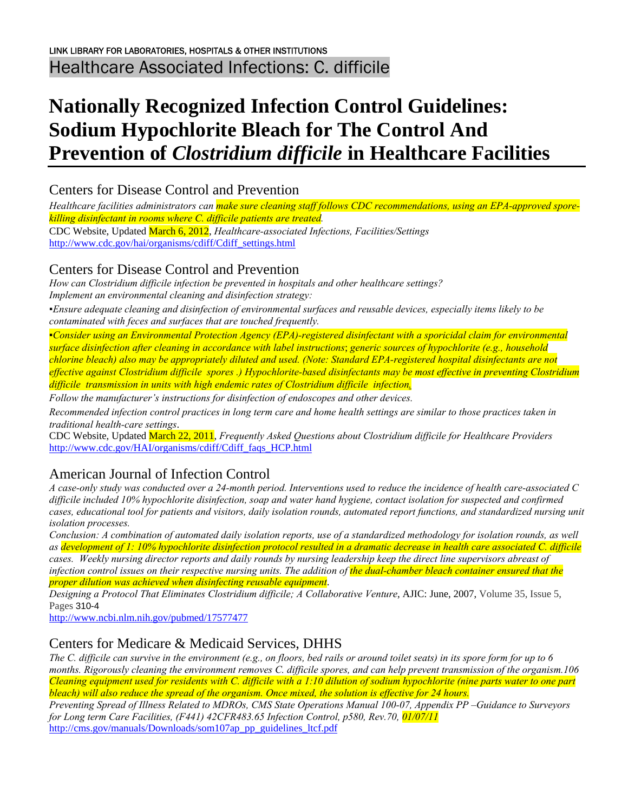# **Nationally Recognized Infection Control Guidelines: Sodium Hypochlorite Bleach for The Control And Prevention of** *Clostridium difficile* **in Healthcare Facilities**

Centers for Disease Control and Prevention

*Healthcare facilities administrators can make sure cleaning staff follows CDC recommendations, using an EPA-approved sporekilling disinfectant in rooms where C. difficile patients are treated.* 

CDC Website, Updated March 6, 2012, *Healthcare-associated Infections, Facilities/Settings* [http://www.cdc.gov/hai/organisms/cdiff/Cdiff\\_settings.html](http://www.cdc.gov/hai/organisms/cdiff/Cdiff_settings.html)

#### Centers for Disease Control and Prevention

*How can Clostridium difficile infection be prevented in hospitals and other healthcare settings? Implement an environmental cleaning and disinfection strategy:* 

*▪Ensure adequate cleaning and disinfection of environmental surfaces and reusable devices, especially items likely to be contaminated with feces and surfaces that are touched frequently.* 

*▪Consider using an Environmental Protection Agency (EPA)-registered disinfectant with a sporicidal claim for environmental surface disinfection after cleaning in accordance with label instructions*; *generic sources of hypochlorite (e.g., household chlorine bleach) also may be appropriately diluted and used. (Note: Standard EPA-registered hospital disinfectants are not effective against Clostridium difficile spores .) Hypochlorite-based disinfectants may be most effective in preventing Clostridium difficile transmission in units with high endemic rates of Clostridium difficile infection.* 

*Follow the manufacturer's instructions for disinfection of endoscopes and other devices.* 

*Recommended infection control practices in long term care and home health settings are similar to those practices taken in traditional health-care settings*.

CDC Website, Updated March 22, 2011, *Frequently Asked Questions about Clostridium difficile for Healthcare Providers* [http://www.cdc.gov/HAI/organisms/cdiff/Cdiff\\_faqs\\_HCP.html](http://www.cdc.gov/HAI/organisms/cdiff/Cdiff_faqs_HCP.html)

# American Journal of Infection Control

*A case-only study was conducted over a 24-month period. Interventions used to reduce the incidence of health care-associated C difficile included 10% hypochlorite disinfection, soap and water hand hygiene, contact isolation for suspected and confirmed cases, educational tool for patients and visitors, daily isolation rounds, automated report functions, and standardized nursing unit isolation processes.* 

*Conclusion: A combination of automated daily isolation reports, use of a standardized methodology for isolation rounds, as well as development of 1: 10% hypochlorite disinfection protocol resulted in a dramatic decrease in health care associated C. difficile cases. Weekly nursing director reports and daily rounds by nursing leadership keep the direct line supervisors abreast of infection control issues on their respective nursing units. The addition of the dual-chamber bleach container ensured that the proper dilution was achieved when disinfecting reusable equipment*.

*Designing a Protocol That Eliminates Clostridium difficile; A Collaborative Venture*, AJIC: June, 2007, Volume 35, Issue 5, Pages 310-4

<http://www.ncbi.nlm.nih.gov/pubmed/17577477>

#### Centers for Medicare & Medicaid Services, DHHS

*The C. difficile can survive in the environment (e.g., on floors, bed rails or around toilet seats) in its spore form for up to 6 months. Rigorously cleaning the environment removes C. difficile spores, and can help prevent transmission of the organism.106 Cleaning equipment used for residents with C. difficile with a 1:10 dilution of sodium hypochlorite (nine parts water to one part bleach) will also reduce the spread of the organism. Once mixed, the solution is effective for 24 hours.* 

*Preventing Spread of Illness Related to MDROs, CMS State Operations Manual 100-07, Appendix PP –Guidance to Surveyors for Long term Care Facilities, (F441) 42CFR483.65 Infection Control, p580, Rev.70, 01/07/11*  [http://cms.gov/manuals/Downloads/som107ap\\_pp\\_guidelines\\_ltcf.pdf](http://cms.gov/manuals/Downloads/som107ap_pp_guidelines_ltcf.pdf)